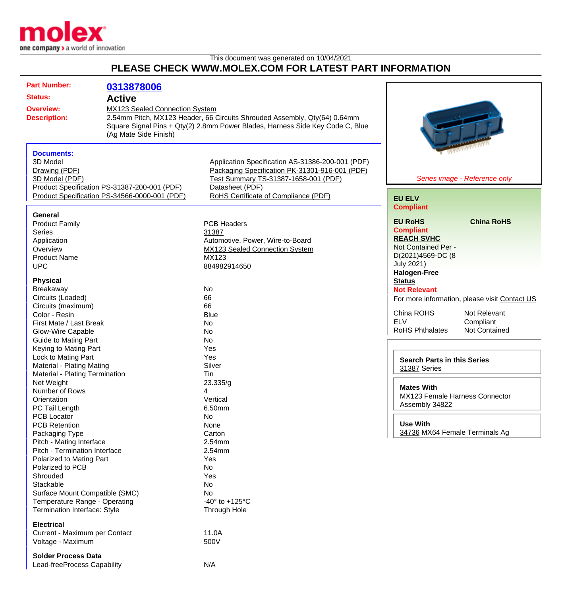

This document was generated on 10/04/2021 **PLEASE CHECK WWW.MOLEX.COM FOR LATEST PART INFORMATION**

| <b>Part Number:</b>              | 0313878006                                    |                                                                               |                                               |
|----------------------------------|-----------------------------------------------|-------------------------------------------------------------------------------|-----------------------------------------------|
| <b>Status:</b>                   |                                               |                                                                               |                                               |
|                                  | <b>Active</b>                                 |                                                                               |                                               |
| <b>Overview:</b>                 | MX123 Sealed Connection System                |                                                                               |                                               |
| <b>Description:</b>              |                                               | 2.54mm Pitch, MX123 Header, 66 Circuits Shrouded Assembly, Qty(64) 0.64mm     |                                               |
|                                  |                                               | Square Signal Pins + Qty(2) 2.8mm Power Blades, Harness Side Key Code C, Blue |                                               |
|                                  | (Ag Mate Side Finish)                         |                                                                               |                                               |
|                                  |                                               |                                                                               |                                               |
| <b>Documents:</b>                |                                               |                                                                               |                                               |
| 3D Model                         |                                               | Application Specification AS-31386-200-001 (PDF)                              |                                               |
| Drawing (PDF)                    |                                               | Packaging Specification PK-31301-916-001 (PDF)                                |                                               |
| 3D Model (PDF)                   |                                               | Test Summary TS-31387-1658-001 (PDF)                                          | Series image - Reference only                 |
|                                  | Product Specification PS-31387-200-001 (PDF)  | Datasheet (PDF)                                                               |                                               |
|                                  | Product Specification PS-34566-0000-001 (PDF) | RoHS Certificate of Compliance (PDF)                                          | <b>EU ELV</b>                                 |
|                                  |                                               |                                                                               | <b>Compliant</b>                              |
| General                          |                                               |                                                                               |                                               |
| <b>Product Family</b>            |                                               | <b>PCB Headers</b>                                                            | <b>EU RoHS</b><br><b>China RoHS</b>           |
| <b>Series</b>                    |                                               | 31387                                                                         | <b>Compliant</b><br><b>REACH SVHC</b>         |
| Application                      |                                               | Automotive, Power, Wire-to-Board                                              | Not Contained Per -                           |
| Overview                         |                                               | MX123 Sealed Connection System                                                |                                               |
| <b>Product Name</b>              |                                               | MX123                                                                         | D(2021)4569-DC (8                             |
| <b>UPC</b>                       |                                               | 884982914650                                                                  | <b>July 2021)</b><br><b>Halogen-Free</b>      |
| <b>Physical</b>                  |                                               |                                                                               | <b>Status</b>                                 |
| Breakaway                        |                                               | No                                                                            | <b>Not Relevant</b>                           |
| Circuits (Loaded)                |                                               | 66                                                                            |                                               |
| Circuits (maximum)               |                                               | 66                                                                            | For more information, please visit Contact US |
| Color - Resin                    |                                               | <b>Blue</b>                                                                   | China ROHS<br>Not Relevant                    |
| First Mate / Last Break          |                                               | <b>No</b>                                                                     | <b>ELV</b><br>Compliant                       |
| Glow-Wire Capable                |                                               | No                                                                            | <b>RoHS Phthalates</b><br>Not Contained       |
| <b>Guide to Mating Part</b>      |                                               | <b>No</b>                                                                     |                                               |
| Keying to Mating Part            |                                               | Yes                                                                           |                                               |
| Lock to Mating Part              |                                               | Yes                                                                           |                                               |
| <b>Material - Plating Mating</b> |                                               | Silver                                                                        | <b>Search Parts in this Series</b>            |
| Material - Plating Termination   |                                               | Tin                                                                           | 31387 Series                                  |
| Net Weight                       |                                               | 23.335/g                                                                      |                                               |
| Number of Rows                   |                                               | 4                                                                             | <b>Mates With</b>                             |
| Orientation                      |                                               | Vertical                                                                      | MX123 Female Harness Connector                |
| PC Tail Length                   |                                               | 6.50mm                                                                        | Assembly 34822                                |
| PCB Locator                      |                                               | <b>No</b>                                                                     |                                               |
| <b>PCB Retention</b>             |                                               | None                                                                          | <b>Use With</b>                               |
| Packaging Type                   |                                               | Carton                                                                        | 34736 MX64 Female Terminals Ag                |
| Pitch - Mating Interface         |                                               | 2.54mm                                                                        |                                               |
| Pitch - Termination Interface    |                                               | 2.54mm                                                                        |                                               |
| Polarized to Mating Part         |                                               | Yes                                                                           |                                               |
| Polarized to PCB                 |                                               | <b>No</b>                                                                     |                                               |
| Shrouded                         |                                               | Yes                                                                           |                                               |
| Stackable                        |                                               | No                                                                            |                                               |
| Surface Mount Compatible (SMC)   |                                               | <b>No</b>                                                                     |                                               |
| Temperature Range - Operating    |                                               | -40 $\degree$ to +125 $\degree$ C                                             |                                               |
| Termination Interface: Style     |                                               | Through Hole                                                                  |                                               |
| <b>Electrical</b>                |                                               |                                                                               |                                               |
| Current - Maximum per Contact    |                                               | 11.0A                                                                         |                                               |
| Voltage - Maximum                |                                               | 500V                                                                          |                                               |
|                                  |                                               |                                                                               |                                               |
| <b>Solder Process Data</b>       |                                               |                                                                               |                                               |
| Lead-freeProcess Capability      |                                               | N/A                                                                           |                                               |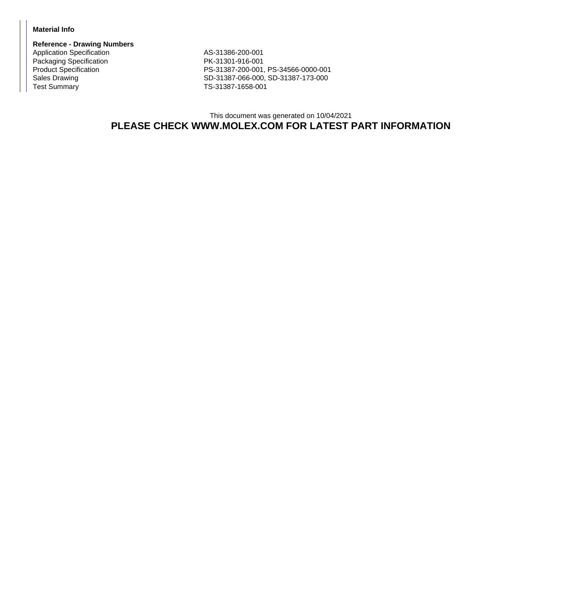## **Material Info**

**Reference - Drawing Numbers** Application Specification AS-31386-200-001 Packaging Specification<br>
Packaging Specification<br>
PK-31301-916-001<br>
PS-31387-200-001

Product Specification PS-31387-200-001, PS-34566-0000-001<br>
Sales Drawing Cales Drawing PS-31387-066-000, SD-31387-173-000 Sales Drawing Sales Drawing SD-31387-066-000, SD-31387-173-000<br>
TS-31387-1658-001 TS-31387-1658-001

> This document was generated on 10/04/2021 **PLEASE CHECK WWW.MOLEX.COM FOR LATEST PART INFORMATION**